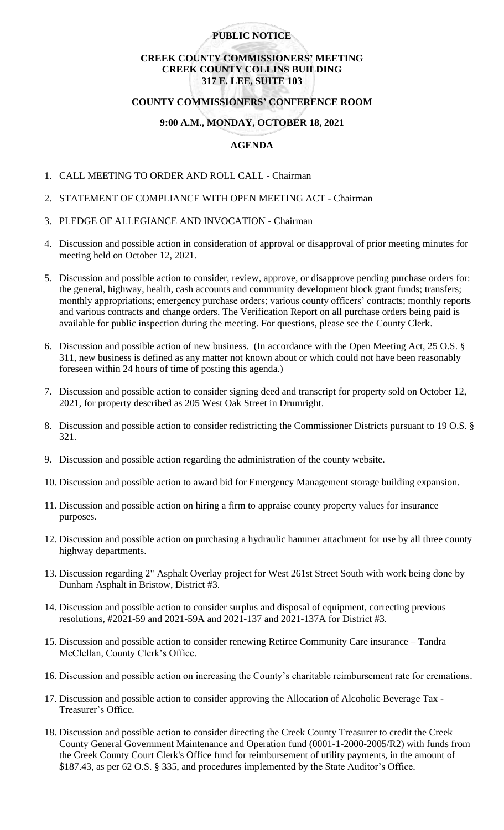### **PUBLIC NOTICE**

### **CREEK COUNTY COMMISSIONERS' MEETING CREEK COUNTY COLLINS BUILDING 317 E. LEE, SUITE 103**

### **COUNTY COMMISSIONERS' CONFERENCE ROOM**

# **9:00 A.M., MONDAY, OCTOBER 18, 2021**

# **AGENDA**

- 1. CALL MEETING TO ORDER AND ROLL CALL Chairman
- 2. STATEMENT OF COMPLIANCE WITH OPEN MEETING ACT Chairman
- 3. PLEDGE OF ALLEGIANCE AND INVOCATION Chairman
- 4. Discussion and possible action in consideration of approval or disapproval of prior meeting minutes for meeting held on October 12, 2021.
- 5. Discussion and possible action to consider, review, approve, or disapprove pending purchase orders for: the general, highway, health, cash accounts and community development block grant funds; transfers; monthly appropriations; emergency purchase orders; various county officers' contracts; monthly reports and various contracts and change orders. The Verification Report on all purchase orders being paid is available for public inspection during the meeting. For questions, please see the County Clerk.
- 6. Discussion and possible action of new business. (In accordance with the Open Meeting Act, 25 O.S. § 311, new business is defined as any matter not known about or which could not have been reasonably foreseen within 24 hours of time of posting this agenda.)
- 7. Discussion and possible action to consider signing deed and transcript for property sold on October 12, 2021, for property described as 205 West Oak Street in Drumright.
- 8. Discussion and possible action to consider redistricting the Commissioner Districts pursuant to 19 O.S. § 321.
- 9. Discussion and possible action regarding the administration of the county website.
- 10. Discussion and possible action to award bid for Emergency Management storage building expansion.
- 11. Discussion and possible action on hiring a firm to appraise county property values for insurance purposes.
- 12. Discussion and possible action on purchasing a hydraulic hammer attachment for use by all three county highway departments.
- 13. Discussion regarding 2" Asphalt Overlay project for West 261st Street South with work being done by Dunham Asphalt in Bristow, District #3.
- 14. Discussion and possible action to consider surplus and disposal of equipment, correcting previous resolutions, #2021-59 and 2021-59A and 2021-137 and 2021-137A for District #3.
- 15. Discussion and possible action to consider renewing Retiree Community Care insurance Tandra McClellan, County Clerk's Office.
- 16. Discussion and possible action on increasing the County's charitable reimbursement rate for cremations.
- 17. Discussion and possible action to consider approving the Allocation of Alcoholic Beverage Tax Treasurer's Office.
- 18. Discussion and possible action to consider directing the Creek County Treasurer to credit the Creek County General Government Maintenance and Operation fund (0001-1-2000-2005/R2) with funds from the Creek County Court Clerk's Office fund for reimbursement of utility payments, in the amount of \$187.43, as per 62 O.S. § 335, and procedures implemented by the State Auditor's Office.